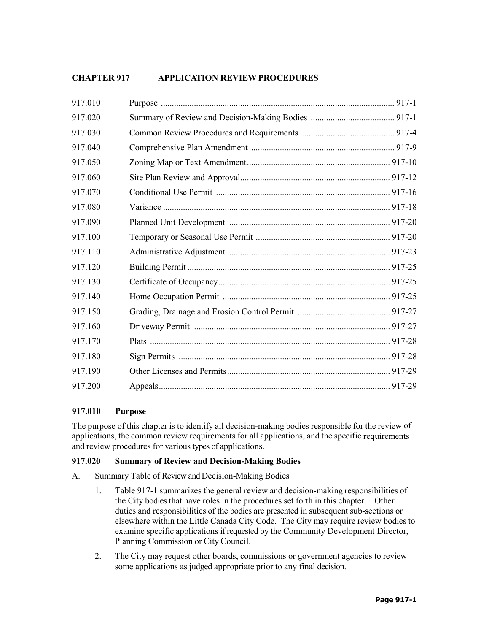# **CHAPTER 917 APPLICATION REVIEWPROCEDURES**

| 917.010 |  |
|---------|--|
| 917.020 |  |
| 917.030 |  |
| 917.040 |  |
| 917.050 |  |
| 917.060 |  |
| 917.070 |  |
| 917.080 |  |
| 917.090 |  |
| 917.100 |  |
| 917.110 |  |
| 917.120 |  |
| 917.130 |  |
| 917.140 |  |
| 917.150 |  |
| 917.160 |  |
| 917.170 |  |
| 917.180 |  |
| 917.190 |  |
| 917.200 |  |

## **917.010 Purpose**

The purpose of this chapter is to identify all decision-making bodies responsible for the review of applications, the common review requirements for all applications, and the specific requirements and review procedures for various types of applications.

## **917.020 Summary of Review and Decision-Making Bodies**

- A. Summary Table of Review and Decision-Making Bodies
	- 1. Table 917-1 summarizes the general review and decision-making responsibilities of the City bodies that have roles in the procedures set forth in this chapter. Other duties and responsibilities of the bodies are presented in subsequent sub-sections or elsewhere within the Little Canada City Code. The City may require review bodies to examine specific applications if requested by the Community Development Director, Planning Commission or City Council.
	- 2. The City may request other boards, commissions or government agencies to review some applications as judged appropriate prior to any final decision.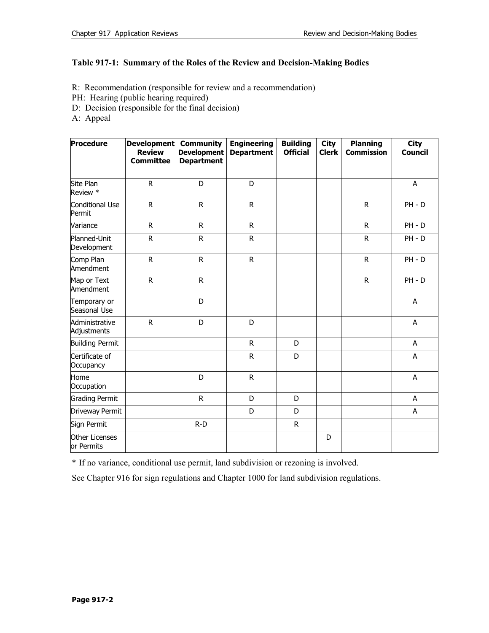# **Table 917-1: Summary of the Roles of the Review and Decision-Making Bodies**

- R: Recommendation (responsible for review and a recommendation)
- PH: Hearing (public hearing required)
- D: Decision (responsible for the final decision)
- A: Appeal

| Procedure                     | <b>Development</b><br><b>Review</b><br><b>Committee</b> | <b>Community</b><br><b>Development</b><br><b>Department</b> | <b>Engineering</b><br><b>Department</b> | <b>Building</b><br><b>Official</b> | <b>City</b><br><b>Clerk</b> | <b>Planning</b><br><b>Commission</b> | <b>City</b><br><b>Council</b> |
|-------------------------------|---------------------------------------------------------|-------------------------------------------------------------|-----------------------------------------|------------------------------------|-----------------------------|--------------------------------------|-------------------------------|
| Site Plan<br>Review *         | $\mathsf{R}$                                            | D                                                           | D                                       |                                    |                             |                                      | A                             |
| Conditional Use<br>Permit     | ${\sf R}$                                               | ${\sf R}$                                                   | ${\sf R}$                               |                                    |                             | R                                    | $PH - D$                      |
| Variance                      | R                                                       | $\mathsf{R}$                                                | $\mathsf{R}$                            |                                    |                             | R                                    | $PH - D$                      |
| Planned-Unit<br>Development   | ${\sf R}$                                               | ${\sf R}$                                                   | $\mathsf R$                             |                                    |                             | R                                    | $PH - D$                      |
| Comp Plan<br>Amendment        | $\mathsf R$                                             | ${\sf R}$                                                   | $\mathsf R$                             |                                    |                             | R                                    | $PH - D$                      |
| Map or Text<br>Amendment      | ${\sf R}$                                               | ${\sf R}$                                                   |                                         |                                    |                             | R                                    | $PH - D$                      |
| Temporary or<br>Seasonal Use  |                                                         | D                                                           |                                         |                                    |                             |                                      | A                             |
| Administrative<br>Adjustments | ${\sf R}$                                               | D                                                           | D                                       |                                    |                             |                                      | A                             |
| <b>Building Permit</b>        |                                                         |                                                             | $\mathsf{R}$                            | D                                  |                             |                                      | A                             |
| Certificate of<br>Occupancy   |                                                         |                                                             | R                                       | D                                  |                             |                                      | A                             |
| Home<br>Occupation            |                                                         | D                                                           | $\mathsf{R}$                            |                                    |                             |                                      | A                             |
| <b>Grading Permit</b>         |                                                         | $\mathsf{R}$                                                | D                                       | D                                  |                             |                                      | A                             |
| Driveway Permit               |                                                         |                                                             | D                                       | D                                  |                             |                                      | A                             |
| Sign Permit                   |                                                         | $R-D$                                                       |                                         | $\mathsf{R}$                       |                             |                                      |                               |
| Other Licenses<br>or Permits  |                                                         |                                                             |                                         |                                    | D                           |                                      |                               |

\* If no variance, conditional use permit, land subdivision or rezoning is involved.

See Chapter 916 for sign regulations and Chapter 1000 for land subdivision regulations.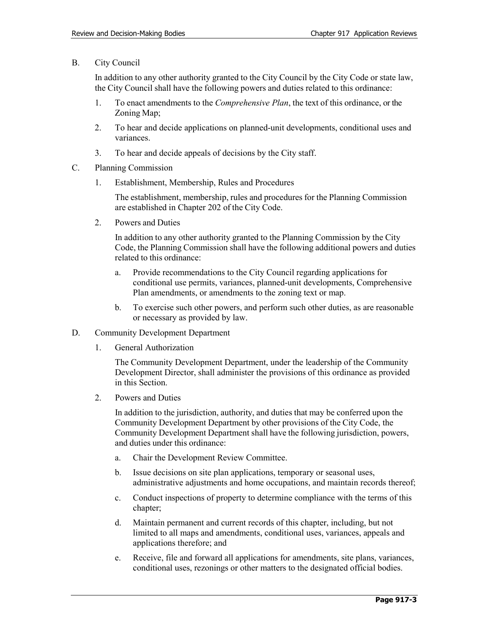B. City Council

In addition to any other authority granted to the City Council by the City Code or state law, the City Council shall have the following powers and duties related to this ordinance:

- 1. To enact amendments to the *Comprehensive Plan*, the text of this ordinance, or the Zoning Map;
- 2. To hear and decide applications on planned-unit developments, conditional uses and variances.
- 3. To hear and decide appeals of decisions by the City staff.
- C. Planning Commission
	- 1. Establishment, Membership, Rules and Procedures

The establishment, membership, rules and procedures for the Planning Commission are established in Chapter 202 of the City Code.

2. Powers and Duties

In addition to any other authority granted to the Planning Commission by the City Code, the Planning Commission shall have the following additional powers and duties related to this ordinance:

- a. Provide recommendations to the City Council regarding applications for conditional use permits, variances, planned-unit developments, Comprehensive Plan amendments, or amendments to the zoning text or map.
- b. To exercise such other powers, and perform such other duties, as are reasonable or necessary as provided by law.
- D. Community Development Department
	- 1. General Authorization

The Community Development Department, under the leadership of the Community Development Director, shall administer the provisions of this ordinance as provided in this Section.

2. Powers and Duties

In addition to the jurisdiction, authority, and duties that may be conferred upon the Community Development Department by other provisions of the City Code, the Community Development Department shall have the following jurisdiction, powers, and duties under this ordinance:

- a. Chair the Development Review Committee.
- b. Issue decisions on site plan applications, temporary or seasonal uses, administrative adjustments and home occupations, and maintain records thereof;
- c. Conduct inspections of property to determine compliance with the terms of this chapter;
- d. Maintain permanent and current records of this chapter, including, but not limited to all maps and amendments, conditional uses, variances, appeals and applications therefore; and
- e. Receive, file and forward all applications for amendments, site plans, variances, conditional uses, rezonings or other matters to the designated official bodies.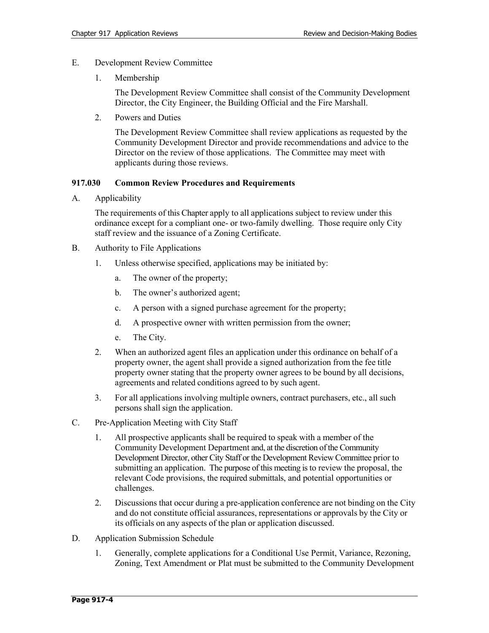- E. Development Review Committee
	- 1. Membership

The Development Review Committee shall consist of the Community Development Director, the City Engineer, the Building Official and the Fire Marshall.

2. Powers and Duties

The Development Review Committee shall review applications as requested by the Community Development Director and provide recommendations and advice to the Director on the review of those applications. The Committee may meet with applicants during those reviews.

#### **917.030 Common Review Procedures and Requirements**

A. Applicability

The requirements of this Chapter apply to all applications subject to review under this ordinance except for a compliant one- or two-family dwelling. Those require only City staff review and the issuance of a Zoning Certificate.

- B. Authority to File Applications
	- 1. Unless otherwise specified, applications may be initiated by:
		- a. The owner of the property;
		- b. The owner's authorized agent;
		- c. A person with a signed purchase agreement for the property;
		- d. A prospective owner with written permission from the owner;
		- e. The City.
	- 2. When an authorized agent files an application under this ordinance on behalf of a property owner, the agent shall provide a signed authorization from the fee title property owner stating that the property owner agrees to be bound by all decisions, agreements and related conditions agreed to by such agent.
	- 3. For all applications involving multiple owners, contract purchasers, etc., all such persons shall sign the application.
- C. Pre-Application Meeting with City Staff
	- 1. All prospective applicants shall be required to speak with a member of the Community Development Department and, at the discretion of the Community Development Director, other City Staff or the Development Review Committee prior to submitting an application. The purpose of this meeting is to review the proposal, the relevant Code provisions, the required submittals, and potential opportunities or challenges.
	- 2. Discussions that occur during a pre-application conference are not binding on the City and do not constitute official assurances, representations or approvals by the City or its officials on any aspects of the plan or application discussed.
- D. Application Submission Schedule
	- 1. Generally, complete applications for a Conditional Use Permit, Variance, Rezoning, Zoning, Text Amendment or Plat must be submitted to the Community Development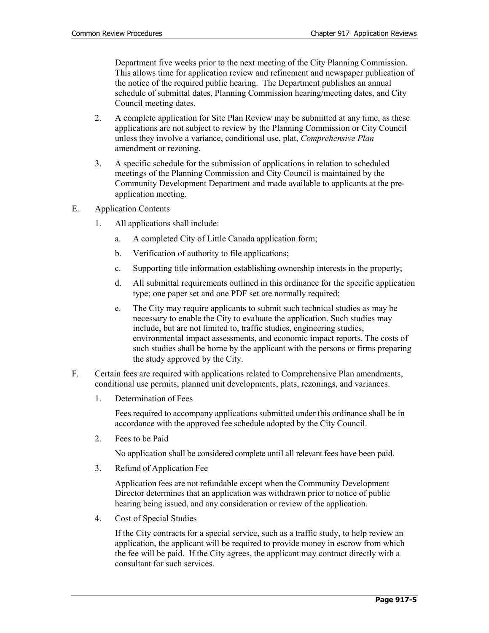Department five weeks prior to the next meeting of the City Planning Commission. This allows time for application review and refinement and newspaper publication of the notice of the required public hearing. The Department publishes an annual schedule of submittal dates, Planning Commission hearing/meeting dates, and City Council meeting dates.

- 2. A complete application for Site Plan Review may be submitted at any time, as these applications are not subject to review by the Planning Commission or City Council unless they involve a variance, conditional use, plat, *Comprehensive Plan* amendment or rezoning.
- 3. A specific schedule for the submission of applications in relation to scheduled meetings of the Planning Commission and City Council is maintained by the Community Development Department and made available to applicants at the preapplication meeting.
- E. Application Contents
	- 1. All applications shall include:
		- a. A completed City of Little Canada application form;
		- b. Verification of authority to file applications;
		- c. Supporting title information establishing ownership interests in the property;
		- d. All submittal requirements outlined in this ordinance for the specific application type; one paper set and one PDF set are normally required;
		- e. The City may require applicants to submit such technical studies as may be necessary to enable the City to evaluate the application. Such studies may include, but are not limited to, traffic studies, engineering studies, environmental impact assessments, and economic impact reports. The costs of such studies shall be borne by the applicant with the persons or firms preparing the study approved by the City.
- F. Certain fees are required with applications related to Comprehensive Plan amendments, conditional use permits, planned unit developments, plats, rezonings, and variances.
	- 1. Determination of Fees

Fees required to accompany applications submitted under this ordinance shall be in accordance with the approved fee schedule adopted by the City Council.

2. Fees to be Paid

No application shall be considered complete until all relevant fees have been paid.

3. Refund of Application Fee

Application fees are not refundable except when the Community Development Director determines that an application was withdrawn prior to notice of public hearing being issued, and any consideration or review of the application.

4. Cost of Special Studies

If the City contracts for a special service, such as a traffic study, to help review an application, the applicant will be required to provide money in escrow from which the fee will be paid. If the City agrees, the applicant may contract directly with a consultant for such services.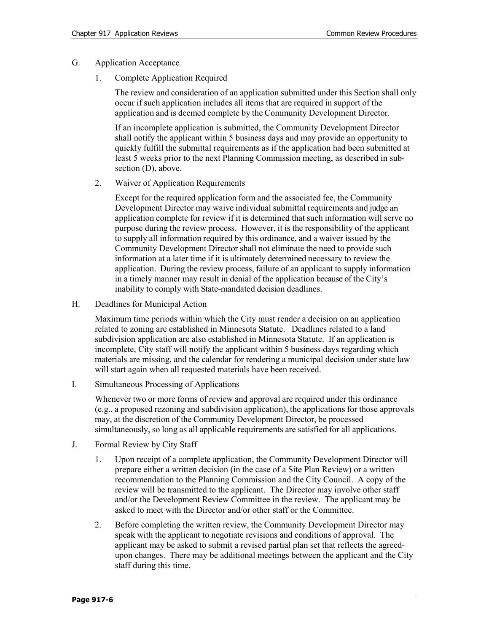- G. Application Acceptance
	- 1. Complete Application Required

The review and consideration of an application submitted under this Section shall only occur if such application includes all items that are required in support of the application and is deemed complete by the Community Development Director.

If an incomplete application is submitted, the Community Development Director shall notify the applicant within 5 business days and may provide an opportunity to quickly fulfill the submittal requirements as if the application had been submitted at least 5 weeks prior to the next Planning Commission meeting, as described in subsection (D), above.

2. Waiver of Application Requirements

Except for the required application form and the associated fee, the Community Development Director may waive individual submittal requirements and judge an application complete for review if it is determined that such information will serve no purpose during the review process. However, it is the responsibility of the applicant to supply all information required by this ordinance, and a waiver issued by the Community Development Director shall not eliminate the need to provide such information at a later time if it is ultimately determined necessary to review the application. During the review process, failure of an applicant to supply information in a timely manner may result in denial of the application because of the City's inability to comply with State-mandated decision deadlines.

H. Deadlines for Municipal Action

Maximum time periods within which the City must render a decision on an application related to zoning are established in Minnesota Statute. Deadlines related to a land subdivision application are also established in Minnesota Statute. If an application is incomplete, City staff will notify the applicant within 5 business days regarding which materials are missing, and the calendar for rendering a municipal decision under state law will start again when all requested materials have been received.

I. Simultaneous Processing of Applications

Whenever two or more forms of review and approval are required under this ordinance (e.g., a proposed rezoning and subdivision application), the applications for those approvals may, at the discretion of the Community Development Director, be processed simultaneously, so long as all applicable requirements are satisfied for all applications.

- J. Formal Review by City Staff
	- 1. Upon receipt of a complete application, the Community Development Director will prepare either a written decision (in the case of a Site Plan Review) or a written recommendation to the Planning Commission and the City Council. A copy of the review will be transmitted to the applicant. The Director may involve other staff and/or the Development Review Committee in the review. The applicant may be asked to meet with the Director and/or other staff or the Committee.
	- 2. Before completing the written review, the Community Development Director may speak with the applicant to negotiate revisions and conditions of approval. The applicant may be asked to submit a revised partial plan set that reflects the agreedupon changes. There may be additional meetings between the applicant and the City staff during this time.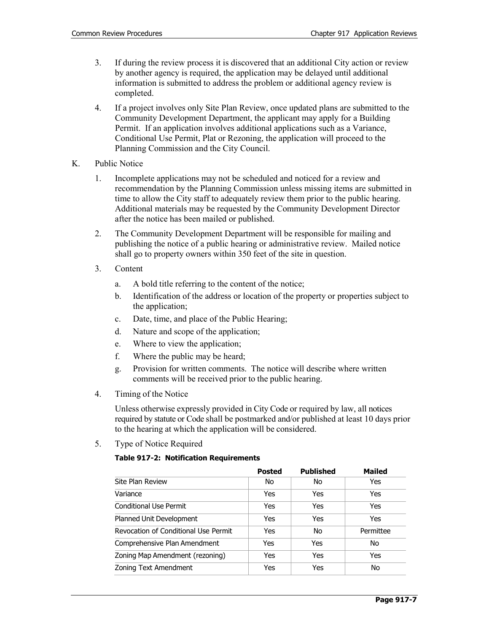- 3. If during the review process it is discovered that an additional City action or review by another agency is required, the application may be delayed until additional information is submitted to address the problem or additional agency review is completed.
- 4. If a project involves only Site Plan Review, once updated plans are submitted to the Community Development Department, the applicant may apply for a Building Permit. If an application involves additional applications such as a Variance, Conditional Use Permit, Plat or Rezoning, the application will proceed to the Planning Commission and the City Council.
- K. Public Notice
	- 1. Incomplete applications may not be scheduled and noticed for a review and recommendation by the Planning Commission unless missing items are submitted in time to allow the City staff to adequately review them prior to the public hearing. Additional materials may be requested by the Community Development Director after the notice has been mailed or published.
	- 2. The Community Development Department will be responsible for mailing and publishing the notice of a public hearing or administrative review. Mailed notice shall go to property owners within 350 feet of the site in question.
	- 3. Content
		- a. A bold title referring to the content of the notice;
		- b. Identification of the address or location of the property or properties subject to the application;
		- c. Date, time, and place of the Public Hearing;
		- d. Nature and scope of the application;
		- e. Where to view the application;
		- f. Where the public may be heard;
		- g. Provision for written comments. The notice will describe where written comments will be received prior to the public hearing.
	- 4. Timing of the Notice

Unless otherwise expressly provided in City Code or required by law, all notices required by statute or Code shall be postmarked and/or published at least 10 days prior to the hearing at which the application will be considered.

5. Type of Notice Required

## **Table 917-2: Notification Requirements**

|                                      | <b>Posted</b> | <b>Published</b> | <b>Mailed</b> |
|--------------------------------------|---------------|------------------|---------------|
| Site Plan Review                     | No            | No               | Yes           |
| Variance                             | Yes           | Yes              | Yes           |
| <b>Conditional Use Permit</b>        | Yes           | Yes              | Yes           |
| Planned Unit Development             | Yes           | Yes              | Yes           |
| Revocation of Conditional Use Permit | Yes           | No               | Permittee     |
| Comprehensive Plan Amendment         | Yes           | Yes              | No            |
| Zoning Map Amendment (rezoning)      | Yes           | Yes              | Yes           |
| Zoning Text Amendment                | Yes           | Yes              | No            |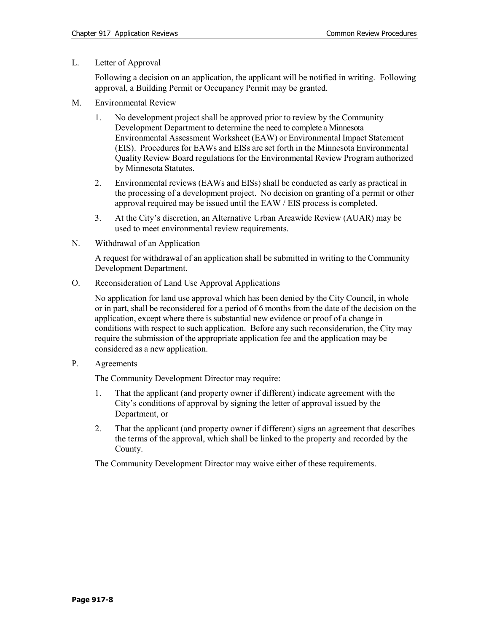L. Letter of Approval

Following a decision on an application, the applicant will be notified in writing. Following approval, a Building Permit or Occupancy Permit may be granted.

- M. Environmental Review
	- 1. No development project shall be approved prior to review by the Community Development Department to determine the need to complete a Minnesota Environmental Assessment Worksheet (EAW) or Environmental Impact Statement (EIS). Procedures for EAWs and EISs are set forth in the Minnesota Environmental Quality Review Board regulations for the Environmental Review Program authorized by Minnesota Statutes.
	- 2. Environmental reviews (EAWs and EISs) shall be conducted as early as practical in the processing of a development project. No decision on granting of a permit or other approval required may be issued until the EAW / EIS process is completed.
	- 3. At the City's discretion, an Alternative Urban Areawide Review (AUAR) may be used to meet environmental review requirements.
- N. Withdrawal of an Application

A request for withdrawal of an application shall be submitted in writing to the Community Development Department.

O. Reconsideration of Land Use Approval Applications

No application for land use approval which has been denied by the City Council, in whole or in part, shall be reconsidered for a period of 6 months from the date of the decision on the application, except where there is substantial new evidence or proof of a change in conditions with respect to such application. Before any such reconsideration, the City may require the submission of the appropriate application fee and the application may be considered as a new application.

P. Agreements

The Community Development Director may require:

- 1. That the applicant (and property owner if different) indicate agreement with the City's conditions of approval by signing the letter of approval issued by the Department, or
- 2. That the applicant (and property owner if different) signs an agreement that describes the terms of the approval, which shall be linked to the property and recorded by the County.

The Community Development Director may waive either of these requirements.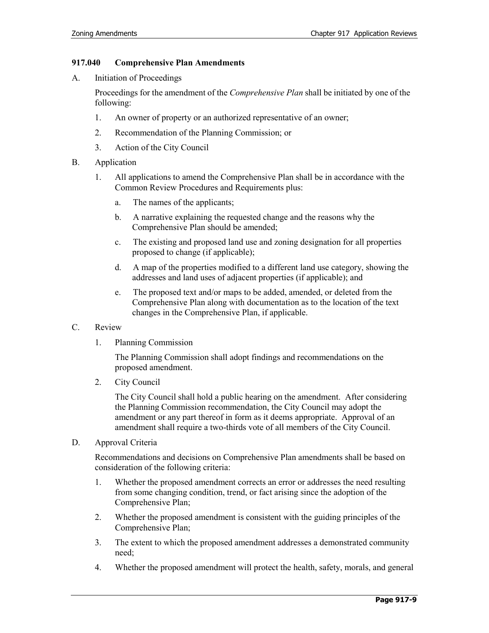## **917.040 Comprehensive Plan Amendments**

A. Initiation of Proceedings

Proceedings for the amendment of the *Comprehensive Plan* shall be initiated by one of the following:

- 1. An owner of property or an authorized representative of an owner;
- 2. Recommendation of the Planning Commission; or
- 3. Action of the City Council
- B. Application
	- 1. All applications to amend the Comprehensive Plan shall be in accordance with the Common Review Procedures and Requirements plus:
		- a. The names of the applicants;
		- b. A narrative explaining the requested change and the reasons why the Comprehensive Plan should be amended;
		- c. The existing and proposed land use and zoning designation for all properties proposed to change (if applicable);
		- d. A map of the properties modified to a different land use category, showing the addresses and land uses of adjacent properties (if applicable); and
		- e. The proposed text and/or maps to be added, amended, or deleted from the Comprehensive Plan along with documentation as to the location of the text changes in the Comprehensive Plan, if applicable.

## C. Review

1. Planning Commission

The Planning Commission shall adopt findings and recommendations on the proposed amendment.

2. City Council

The City Council shall hold a public hearing on the amendment. After considering the Planning Commission recommendation, the City Council may adopt the amendment or any part thereof in form as it deems appropriate. Approval of an amendment shall require a two-thirds vote of all members of the City Council.

D. Approval Criteria

Recommendations and decisions on Comprehensive Plan amendments shall be based on consideration of the following criteria:

- 1. Whether the proposed amendment corrects an error or addresses the need resulting from some changing condition, trend, or fact arising since the adoption of the Comprehensive Plan;
- 2. Whether the proposed amendment is consistent with the guiding principles of the Comprehensive Plan;
- 3. The extent to which the proposed amendment addresses a demonstrated community need;
- 4. Whether the proposed amendment will protect the health, safety, morals, and general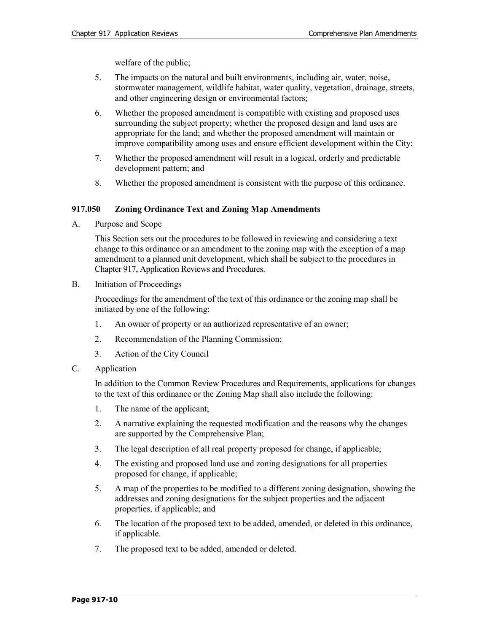welfare of the public;

- 5. The impacts on the natural and built environments, including air, water, noise, stormwater management, wildlife habitat, water quality, vegetation, drainage, streets, and other engineering design or environmental factors;
- 6. Whether the proposed amendment is compatible with existing and proposed uses surrounding the subject property; whether the proposed design and land uses are appropriate for the land; and whether the proposed amendment will maintain or improve compatibility among uses and ensure efficient development within the City;
- 7. Whether the proposed amendment will result in a logical, orderly and predictable development pattern; and
- 8. Whether the proposed amendment is consistent with the purpose of this ordinance.

#### **917.050 Zoning Ordinance Text and Zoning Map Amendments**

A. Purpose and Scope

This Section sets out the procedures to be followed in reviewing and considering a text change to this ordinance or an amendment to the zoning map with the exception of a map amendment to a planned unit development, which shall be subject to the procedures in Chapter 917, Application Reviews and Procedures.

B. Initiation of Proceedings

Proceedings for the amendment of the text of this ordinance or the zoning map shall be initiated by one of the following:

- 1. An owner of property or an authorized representative of an owner;
- 2. Recommendation of the Planning Commission;
- 3. Action of the City Council
- C. Application

In addition to the Common Review Procedures and Requirements, applications for changes to the text of this ordinance or the Zoning Map shall also include the following:

- 1. The name of the applicant;
- 2. A narrative explaining the requested modification and the reasons why the changes are supported by the Comprehensive Plan;
- 3. The legal description of all real property proposed for change, if applicable;
- 4. The existing and proposed land use and zoning designations for all properties proposed for change, if applicable;
- 5. A map of the properties to be modified to a different zoning designation, showing the addresses and zoning designations for the subject properties and the adjacent properties, if applicable; and
- 6. The location of the proposed text to be added, amended, or deleted in this ordinance, if applicable.
- 7. The proposed text to be added, amended or deleted.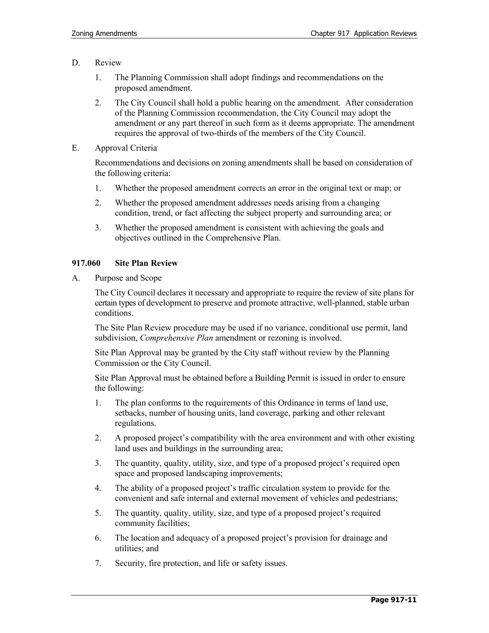- D. Review
	- 1. The Planning Commission shall adopt findings and recommendations on the proposed amendment.
	- 2. The City Council shall hold a public hearing on the amendment. After consideration of the Planning Commission recommendation, the City Council may adopt the amendment or any part thereof in such form as it deems appropriate. The amendment requires the approval of two-thirds of the members of the City Council.
- E. Approval Criteria

Recommendations and decisions on zoning amendments shall be based on consideration of the following criteria:

- 1. Whether the proposed amendment corrects an error in the original text or map; or
- 2. Whether the proposed amendment addresses needs arising from a changing condition, trend, or fact affecting the subject property and surrounding area; or
- 3. Whether the proposed amendment is consistent with achieving the goals and objectives outlined in the Comprehensive Plan.

#### **917.060 Site Plan Review**

A. Purpose and Scope

The City Council declares it necessary and appropriate to require the review of site plans for certain types of development to preserve and promote attractive, well-planned, stable urban conditions.

The Site Plan Review procedure may be used if no variance, conditional use permit, land subdivision, *Comprehensive Plan* amendment or rezoning is involved.

Site Plan Approval may be granted by the City staff without review by the Planning Commission or the City Council.

Site Plan Approval must be obtained before a Building Permit is issued in order to ensure the following:

- 1. The plan conforms to the requirements of this Ordinance in terms of land use, setbacks, number of housing units, land coverage, parking and other relevant regulations.
- 2. A proposed project's compatibility with the area environment and with other existing land uses and buildings in the surrounding area;
- 3. The quantity, quality, utility, size, and type of a proposed project's required open space and proposed landscaping improvements;
- 4. The ability of a proposed project's traffic circulation system to provide for the convenient and safe internal and external movement of vehicles and pedestrians;
- 5. The quantity, quality, utility, size, and type of a proposed project's required community facilities;
- 6. The location and adequacy of a proposed project's provision for drainage and utilities; and
- 7. Security, fire protection, and life or safety issues.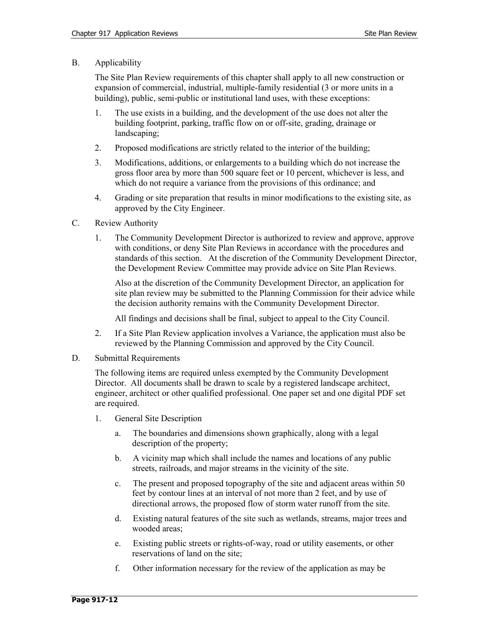B. Applicability

The Site Plan Review requirements of this chapter shall apply to all new construction or expansion of commercial, industrial, multiple-family residential (3 or more units in a building), public, semi-public or institutional land uses, with these exceptions:

- 1. The use exists in a building, and the development of the use does not alter the building footprint, parking, traffic flow on or off-site, grading, drainage or landscaping;
- 2. Proposed modifications are strictly related to the interior of the building;
- 3. Modifications, additions, or enlargements to a building which do not increase the gross floor area by more than 500 square feet or 10 percent, whichever is less, and which do not require a variance from the provisions of this ordinance; and
- 4. Grading or site preparation that results in minor modifications to the existing site, as approved by the City Engineer.
- C. Review Authority
	- 1. The Community Development Director is authorized to review and approve, approve with conditions, or deny Site Plan Reviews in accordance with the procedures and standards of this section. At the discretion of the Community Development Director, the Development Review Committee may provide advice on Site Plan Reviews.

Also at the discretion of the Community Development Director, an application for site plan review may be submitted to the Planning Commission for their advice while the decision authority remains with the Community Development Director.

All findings and decisions shall be final, subject to appeal to the City Council.

- 2. If a Site Plan Review application involves a Variance, the application must also be reviewed by the Planning Commission and approved by the City Council.
- D. Submittal Requirements

The following items are required unless exempted by the Community Development Director. All documents shall be drawn to scale by a registered landscape architect, engineer, architect or other qualified professional. One paper set and one digital PDF set are required.

- 1. General Site Description
	- a. The boundaries and dimensions shown graphically, along with a legal description of the property;
	- b. A vicinity map which shall include the names and locations of any public streets, railroads, and major streams in the vicinity of the site.
	- c. The present and proposed topography of the site and adjacent areas within 50 feet by contour lines at an interval of not more than 2 feet, and by use of directional arrows, the proposed flow of storm water runoff from the site.
	- d. Existing natural features of the site such as wetlands, streams, major trees and wooded areas;
	- e. Existing public streets or rights-of-way, road or utility easements, or other reservations of land on the site;
	- f. Other information necessary for the review of the application as may be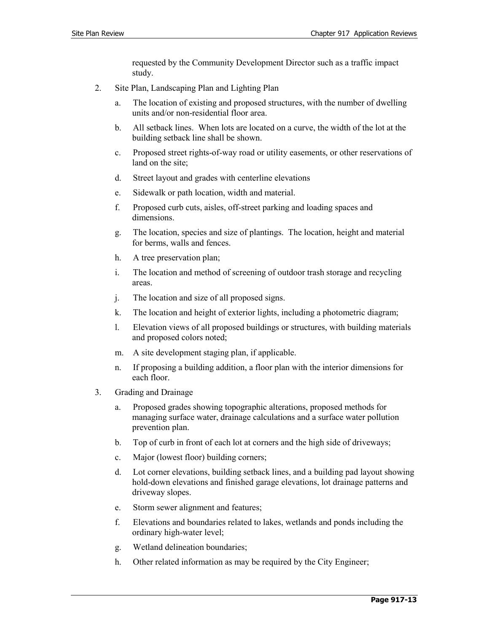requested by the Community Development Director such as a traffic impact study.

- 2. Site Plan, Landscaping Plan and Lighting Plan
	- a. The location of existing and proposed structures, with the number of dwelling units and/or non-residential floor area.
	- b. All setback lines. When lots are located on a curve, the width of the lot at the building setback line shall be shown.
	- c. Proposed street rights-of-way road or utility easements, or other reservations of land on the site;
	- d. Street layout and grades with centerline elevations
	- e. Sidewalk or path location, width and material.
	- f. Proposed curb cuts, aisles, off-street parking and loading spaces and dimensions.
	- g. The location, species and size of plantings. The location, height and material for berms, walls and fences.
	- h. A tree preservation plan;
	- i. The location and method of screening of outdoor trash storage and recycling areas.
	- j. The location and size of all proposed signs.
	- k. The location and height of exterior lights, including a photometric diagram;
	- l. Elevation views of all proposed buildings or structures, with building materials and proposed colors noted;
	- m. A site development staging plan, if applicable.
	- n. If proposing a building addition, a floor plan with the interior dimensions for each floor.
- 3. Grading and Drainage
	- a. Proposed grades showing topographic alterations, proposed methods for managing surface water, drainage calculations and a surface water pollution prevention plan.
	- b. Top of curb in front of each lot at corners and the high side of driveways;
	- c. Major (lowest floor) building corners;
	- d. Lot corner elevations, building setback lines, and a building pad layout showing hold-down elevations and finished garage elevations, lot drainage patterns and driveway slopes.
	- e. Storm sewer alignment and features;
	- f. Elevations and boundaries related to lakes, wetlands and ponds including the ordinary high-water level;
	- g. Wetland delineation boundaries;
	- h. Other related information as may be required by the City Engineer;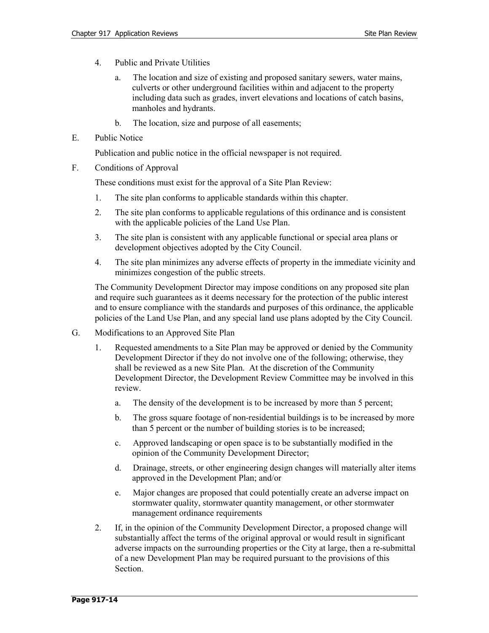- 4. Public and Private Utilities
	- a. The location and size of existing and proposed sanitary sewers, water mains, culverts or other underground facilities within and adjacent to the property including data such as grades, invert elevations and locations of catch basins, manholes and hydrants.
	- b. The location, size and purpose of all easements;
- E. Public Notice

Publication and public notice in the official newspaper is not required.

F. Conditions of Approval

These conditions must exist for the approval of a Site Plan Review:

- 1. The site plan conforms to applicable standards within this chapter.
- 2. The site plan conforms to applicable regulations of this ordinance and is consistent with the applicable policies of the Land Use Plan.
- 3. The site plan is consistent with any applicable functional or special area plans or development objectives adopted by the City Council.
- 4. The site plan minimizes any adverse effects of property in the immediate vicinity and minimizes congestion of the public streets.

The Community Development Director may impose conditions on any proposed site plan and require such guarantees as it deems necessary for the protection of the public interest and to ensure compliance with the standards and purposes of this ordinance, the applicable policies of the Land Use Plan, and any special land use plans adopted by the City Council.

- G. Modifications to an Approved Site Plan
	- 1. Requested amendments to a Site Plan may be approved or denied by the Community Development Director if they do not involve one of the following; otherwise, they shall be reviewed as a new Site Plan. At the discretion of the Community Development Director, the Development Review Committee may be involved in this review.
		- a. The density of the development is to be increased by more than 5 percent;
		- b. The gross square footage of non-residential buildings is to be increased by more than 5 percent or the number of building stories is to be increased;
		- c. Approved landscaping or open space is to be substantially modified in the opinion of the Community Development Director;
		- d. Drainage, streets, or other engineering design changes will materially alter items approved in the Development Plan; and/or
		- e. Major changes are proposed that could potentially create an adverse impact on stormwater quality, stormwater quantity management, or other stormwater management ordinance requirements
	- 2. If, in the opinion of the Community Development Director, a proposed change will substantially affect the terms of the original approval or would result in significant adverse impacts on the surrounding properties or the City at large, then a re-submittal of a new Development Plan may be required pursuant to the provisions of this Section.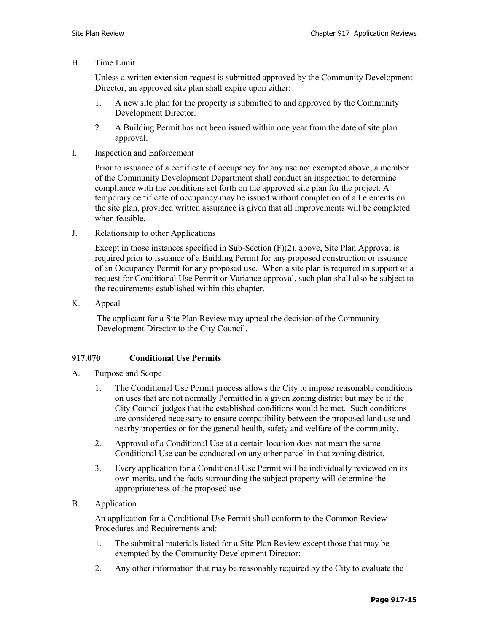H. Time Limit

Unless a written extension request is submitted approved by the Community Development Director, an approved site plan shall expire upon either:

- 1. A new site plan for the property is submitted to and approved by the Community Development Director.
- 2. A Building Permit has not been issued within one year from the date of site plan approval.
- I. Inspection and Enforcement

Prior to issuance of a certificate of occupancy for any use not exempted above, a member of the Community Development Department shall conduct an inspection to determine compliance with the conditions set forth on the approved site plan for the project. A temporary certificate of occupancy may be issued without completion of all elements on the site plan, provided written assurance is given that all improvements will be completed when feasible.

J. Relationship to other Applications

Except in those instances specified in Sub-Section  $(F)(2)$ , above, Site Plan Approval is required prior to issuance of a Building Permit for any proposed construction or issuance of an Occupancy Permit for any proposed use. When a site plan is required in support of a request for Conditional Use Permit or Variance approval, such plan shall also be subject to the requirements established within this chapter.

K. Appeal

The applicant for a Site Plan Review may appeal the decision of the Community Development Director to the City Council.

## **917.070 Conditional Use Permits**

- A. Purpose and Scope
	- 1. The Conditional Use Permit process allows the City to impose reasonable conditions on uses that are not normally Permitted in a given zoning district but may be if the City Council judges that the established conditions would be met. Such conditions are considered necessary to ensure compatibility between the proposed land use and nearby properties or for the general health, safety and welfare of the community.
	- 2. Approval of a Conditional Use at a certain location does not mean the same Conditional Use can be conducted on any other parcel in that zoning district.
	- 3. Every application for a Conditional Use Permit will be individually reviewed on its own merits, and the facts surrounding the subject property will determine the appropriateness of the proposed use.
- B. Application

An application for a Conditional Use Permit shall conform to the Common Review Procedures and Requirements and:

- 1. The submittal materials listed for a Site Plan Review except those that may be exempted by the Community Development Director;
- 2. Any other information that may be reasonably required by the City to evaluate the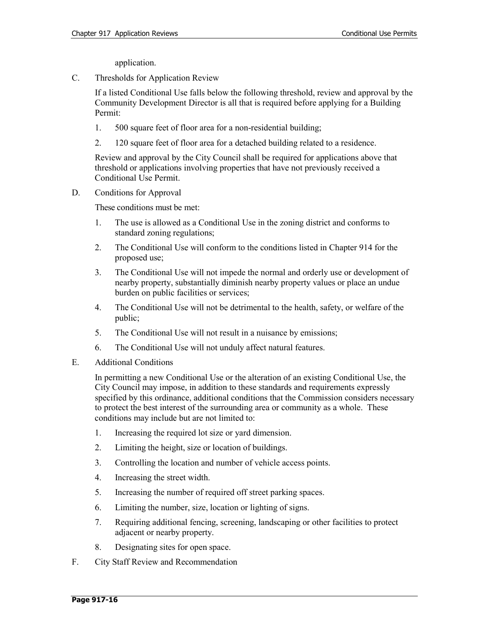application.

C. Thresholds for Application Review

If a listed Conditional Use falls below the following threshold, review and approval by the Community Development Director is all that is required before applying for a Building Permit:

- 1. 500 square feet of floor area for a non-residential building;
- 2. 120 square feet of floor area for a detached building related to a residence.

Review and approval by the City Council shall be required for applications above that threshold or applications involving properties that have not previously received a Conditional Use Permit.

D. Conditions for Approval

These conditions must be met:

- 1. The use is allowed as a Conditional Use in the zoning district and conforms to standard zoning regulations;
- 2. The Conditional Use will conform to the conditions listed in Chapter 914 for the proposed use;
- 3. The Conditional Use will not impede the normal and orderly use or development of nearby property, substantially diminish nearby property values or place an undue burden on public facilities or services;
- 4. The Conditional Use will not be detrimental to the health, safety, or welfare of the public;
- 5. The Conditional Use will not result in a nuisance by emissions;
- 6. The Conditional Use will not unduly affect natural features.
- E. Additional Conditions

In permitting a new Conditional Use or the alteration of an existing Conditional Use, the City Council may impose, in addition to these standards and requirements expressly specified by this ordinance, additional conditions that the Commission considers necessary to protect the best interest of the surrounding area or community as a whole. These conditions may include but are not limited to:

- 1. Increasing the required lot size or yard dimension.
- 2. Limiting the height, size or location of buildings.
- 3. Controlling the location and number of vehicle access points.
- 4. Increasing the street width.
- 5. Increasing the number of required off street parking spaces.
- 6. Limiting the number, size, location or lighting of signs.
- 7. Requiring additional fencing, screening, landscaping or other facilities to protect adjacent or nearby property.
- 8. Designating sites for open space.
- F. City Staff Review and Recommendation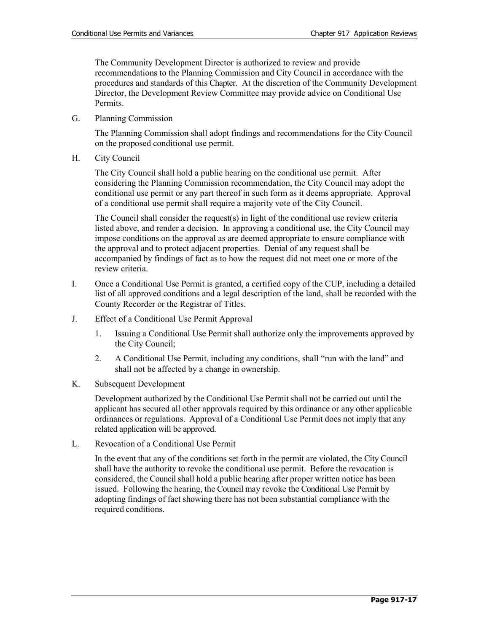The Community Development Director is authorized to review and provide recommendations to the Planning Commission and City Council in accordance with the procedures and standards of this Chapter. At the discretion of the Community Development Director, the Development Review Committee may provide advice on Conditional Use Permits.

G. Planning Commission

The Planning Commission shall adopt findings and recommendations for the City Council on the proposed conditional use permit.

H. City Council

The City Council shall hold a public hearing on the conditional use permit. After considering the Planning Commission recommendation, the City Council may adopt the conditional use permit or any part thereof in such form as it deems appropriate. Approval of a conditional use permit shall require a majority vote of the City Council.

The Council shall consider the request(s) in light of the conditional use review criteria listed above, and render a decision. In approving a conditional use, the City Council may impose conditions on the approval as are deemed appropriate to ensure compliance with the approval and to protect adjacent properties. Denial of any request shall be accompanied by findings of fact as to how the request did not meet one or more of the review criteria.

- I. Once a Conditional Use Permit is granted, a certified copy of the CUP, including a detailed list of all approved conditions and a legal description of the land, shall be recorded with the County Recorder or the Registrar of Titles.
- J. Effect of a Conditional Use Permit Approval
	- 1. Issuing a Conditional Use Permit shall authorize only the improvements approved by the City Council;
	- 2. A Conditional Use Permit, including any conditions, shall "run with the land" and shall not be affected by a change in ownership.
- K. Subsequent Development

Development authorized by the Conditional Use Permit shall not be carried out until the applicant has secured all other approvals required by this ordinance or any other applicable ordinances or regulations. Approval of a Conditional Use Permit does not imply that any related application will be approved.

L. Revocation of a Conditional Use Permit

In the event that any of the conditions set forth in the permit are violated, the City Council shall have the authority to revoke the conditional use permit. Before the revocation is considered, the Council shall hold a public hearing after proper written notice has been issued. Following the hearing, the Council may revoke the Conditional Use Permit by adopting findings of fact showing there has not been substantial compliance with the required conditions.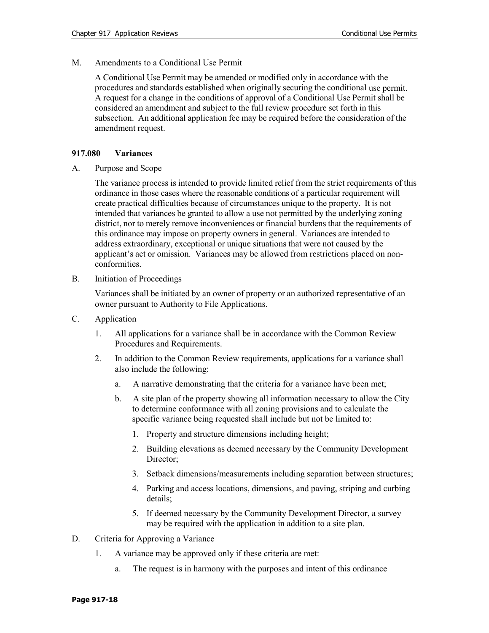M. Amendments to a Conditional Use Permit

A Conditional Use Permit may be amended or modified only in accordance with the procedures and standards established when originally securing the conditional use permit. A request for a change in the conditions of approval of a Conditional Use Permit shall be considered an amendment and subject to the full review procedure set forth in this subsection. An additional application fee may be required before the consideration of the amendment request.

#### **917.080 Variances**

A. Purpose and Scope

The variance process is intended to provide limited relief from the strict requirements of this ordinance in those cases where the reasonable conditions of a particular requirement will create practical difficulties because of circumstances unique to the property. It is not intended that variances be granted to allow a use not permitted by the underlying zoning district, nor to merely remove inconveniences or financial burdens that the requirements of this ordinance may impose on property owners in general. Variances are intended to address extraordinary, exceptional or unique situations that were not caused by the applicant's act or omission. Variances may be allowed from restrictions placed on nonconformities.

B. Initiation of Proceedings

Variances shall be initiated by an owner of property or an authorized representative of an owner pursuant to Authority to File Applications.

- C. Application
	- 1. All applications for a variance shall be in accordance with the Common Review Procedures and Requirements.
	- 2. In addition to the Common Review requirements, applications for a variance shall also include the following:
		- a. A narrative demonstrating that the criteria for a variance have been met;
		- b. A site plan of the property showing all information necessary to allow the City to determine conformance with all zoning provisions and to calculate the specific variance being requested shall include but not be limited to:
			- 1. Property and structure dimensions including height;
			- 2. Building elevations as deemed necessary by the Community Development Director;
			- 3. Setback dimensions/measurements including separation between structures;
			- 4. Parking and access locations, dimensions, and paving, striping and curbing details;
			- 5. If deemed necessary by the Community Development Director, a survey may be required with the application in addition to a site plan.
- D. Criteria for Approving a Variance
	- 1. A variance may be approved only if these criteria are met:
		- a. The request is in harmony with the purposes and intent of this ordinance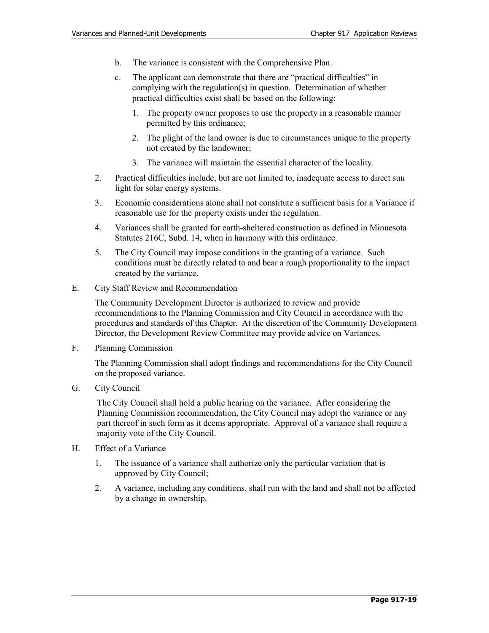- b. The variance is consistent with the Comprehensive Plan.
- c. The applicant can demonstrate that there are "practical difficulties" in complying with the regulation(s) in question. Determination of whether practical difficulties exist shall be based on the following:
	- 1. The property owner proposes to use the property in a reasonable manner permitted by this ordinance;
	- 2. The plight of the land owner is due to circumstances unique to the property not created by the landowner;
	- 3. The variance will maintain the essential character of the locality.
- 2. Practical difficulties include, but are not limited to, inadequate access to direct sun light for solar energy systems.
- 3. Economic considerations alone shall not constitute a sufficient basis for a Variance if reasonable use for the property exists under the regulation.
- 4. Variances shall be granted for earth-sheltered construction as defined in Minnesota Statutes 216C, Subd. 14, when in harmony with this ordinance.
- 5. The City Council may impose conditions in the granting of a variance. Such conditions must be directly related to and bear a rough proportionality to the impact created by the variance.
- E. City Staff Review and Recommendation

The Community Development Director is authorized to review and provide recommendations to the Planning Commission and City Council in accordance with the procedures and standards of this Chapter. At the discretion of the Community Development Director, the Development Review Committee may provide advice on Variances.

F. Planning Commission

The Planning Commission shall adopt findings and recommendations for the City Council on the proposed variance.

G. City Council

The City Council shall hold a public hearing on the variance. After considering the Planning Commission recommendation, the City Council may adopt the variance or any part thereof in such form as it deems appropriate. Approval of a variance shall require a majority vote of the City Council.

- H. Effect of a Variance
	- 1. The issuance of a variance shall authorize only the particular variation that is approved by City Council;
	- 2. A variance, including any conditions, shall run with the land and shall not be affected by a change in ownership.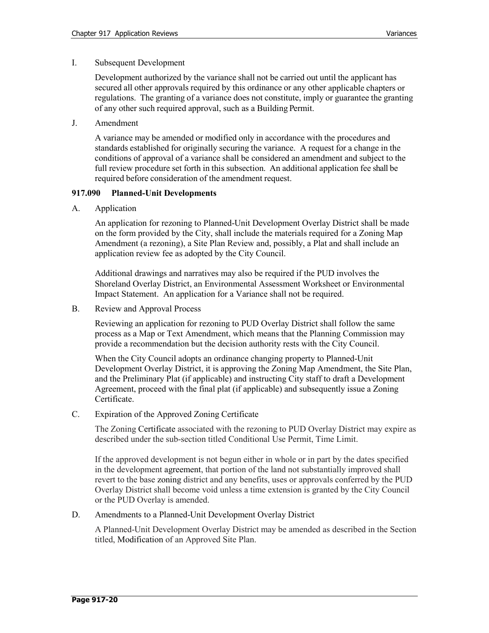#### I. Subsequent Development

Development authorized by the variance shall not be carried out until the applicant has secured all other approvals required by this ordinance or any other applicable chapters or regulations. The granting of a variance does not constitute, imply or guarantee the granting of any other such required approval, such as a Building Permit.

J. Amendment

A variance may be amended or modified only in accordance with the procedures and standards established for originally securing the variance. A request for a change in the conditions of approval of a variance shall be considered an amendment and subject to the full review procedure set forth in this subsection. An additional application fee shall be required before consideration of the amendment request.

#### **917.090 Planned-Unit Developments**

A. Application

An application for rezoning to Planned-Unit Development Overlay District shall be made on the form provided by the City, shall include the materials required for a Zoning Map Amendment (a rezoning), a Site Plan Review and, possibly, a Plat and shall include an application review fee as adopted by the City Council.

Additional drawings and narratives may also be required if the PUD involves the Shoreland Overlay District, an Environmental Assessment Worksheet or Environmental Impact Statement. An application for a Variance shall not be required.

B. Review and Approval Process

Reviewing an application for rezoning to PUD Overlay District shall follow the same process as a Map or Text Amendment, which means that the Planning Commission may provide a recommendation but the decision authority rests with the City Council.

When the City Council adopts an ordinance changing property to Planned-Unit Development Overlay District, it is approving the Zoning Map Amendment, the Site Plan, and the Preliminary Plat (if applicable) and instructing City staff to draft a Development Agreement, proceed with the final plat (if applicable) and subsequently issue a Zoning Certificate.

C. Expiration of the Approved Zoning Certificate

The Zoning Certificate associated with the rezoning to PUD Overlay District may expire as described under the sub-section titled Conditional Use Permit, Time Limit.

If the approved development is not begun either in whole or in part by the dates specified in the development agreement, that portion of the land not substantially improved shall revert to the base zoning district and any benefits, uses or approvals conferred by the PUD Overlay District shall become void unless a time extension is granted by the City Council or the PUD Overlay is amended.

D. Amendments to a Planned-Unit Development Overlay District

A Planned-Unit Development Overlay District may be amended as described in the Section titled, Modification of an Approved Site Plan.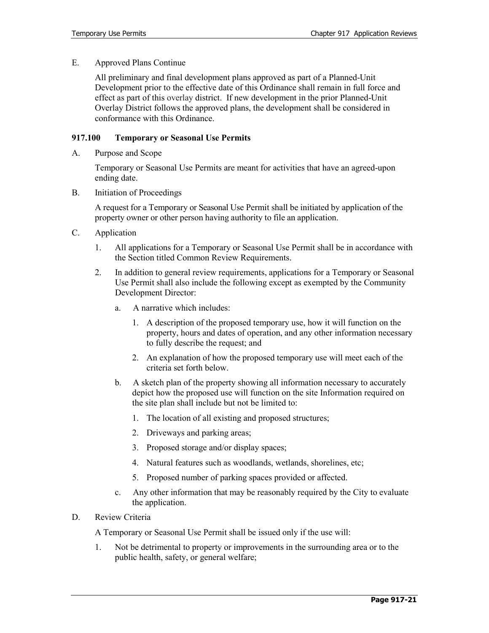E. Approved Plans Continue

All preliminary and final development plans approved as part of a Planned-Unit Development prior to the effective date of this Ordinance shall remain in full force and effect as part of this overlay district. If new development in the prior Planned-Unit Overlay District follows the approved plans, the development shall be considered in conformance with this Ordinance.

#### **917.100 Temporary or Seasonal Use Permits**

A. Purpose and Scope

Temporary or Seasonal Use Permits are meant for activities that have an agreed-upon ending date.

B. Initiation of Proceedings

A request for a Temporary or Seasonal Use Permit shall be initiated by application of the property owner or other person having authority to file an application.

- C. Application
	- 1. All applications for a Temporary or Seasonal Use Permit shall be in accordance with the Section titled Common Review Requirements.
	- 2. In addition to general review requirements, applications for a Temporary or Seasonal Use Permit shall also include the following except as exempted by the Community Development Director:
		- a. A narrative which includes:
			- 1. A description of the proposed temporary use, how it will function on the property, hours and dates of operation, and any other information necessary to fully describe the request; and
			- 2. An explanation of how the proposed temporary use will meet each of the criteria set forth below.
		- b. A sketch plan of the property showing all information necessary to accurately depict how the proposed use will function on the site Information required on the site plan shall include but not be limited to:
			- 1. The location of all existing and proposed structures;
			- 2. Driveways and parking areas;
			- 3. Proposed storage and/or display spaces;
			- 4. Natural features such as woodlands, wetlands, shorelines, etc;
			- 5. Proposed number of parking spaces provided or affected.
		- c. Any other information that may be reasonably required by the City to evaluate the application.
- D. Review Criteria

A Temporary or Seasonal Use Permit shall be issued only if the use will:

1. Not be detrimental to property or improvements in the surrounding area or to the public health, safety, or general welfare;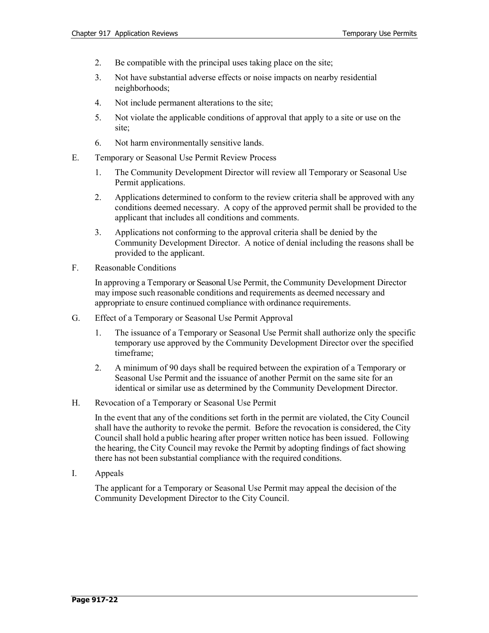- 2. Be compatible with the principal uses taking place on the site;
- 3. Not have substantial adverse effects or noise impacts on nearby residential neighborhoods;
- 4. Not include permanent alterations to the site;
- 5. Not violate the applicable conditions of approval that apply to a site or use on the site;
- 6. Not harm environmentally sensitive lands.
- E. Temporary or Seasonal Use Permit Review Process
	- 1. The Community Development Director will review all Temporary or Seasonal Use Permit applications.
	- 2. Applications determined to conform to the review criteria shall be approved with any conditions deemed necessary. A copy of the approved permit shall be provided to the applicant that includes all conditions and comments.
	- 3. Applications not conforming to the approval criteria shall be denied by the Community Development Director. A notice of denial including the reasons shall be provided to the applicant.
- F. Reasonable Conditions

In approving a Temporary or Seasonal Use Permit, the Community Development Director may impose such reasonable conditions and requirements as deemed necessary and appropriate to ensure continued compliance with ordinance requirements.

- G. Effect of a Temporary or Seasonal Use Permit Approval
	- 1. The issuance of a Temporary or Seasonal Use Permit shall authorize only the specific temporary use approved by the Community Development Director over the specified timeframe;
	- 2. A minimum of 90 days shall be required between the expiration of a Temporary or Seasonal Use Permit and the issuance of another Permit on the same site for an identical or similar use as determined by the Community Development Director.
- H. Revocation of a Temporary or Seasonal Use Permit

In the event that any of the conditions set forth in the permit are violated, the City Council shall have the authority to revoke the permit. Before the revocation is considered, the City Council shall hold a public hearing after proper written notice has been issued. Following the hearing, the City Council may revoke the Permit by adopting findings of fact showing there has not been substantial compliance with the required conditions.

I. Appeals

The applicant for a Temporary or Seasonal Use Permit may appeal the decision of the Community Development Director to the City Council.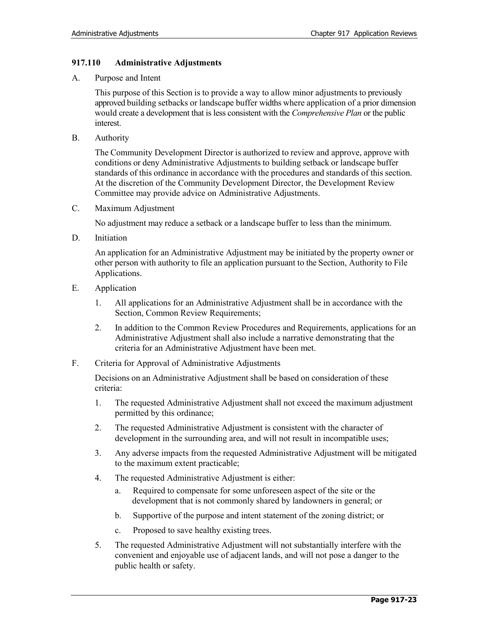## **917.110 Administrative Adjustments**

A. Purpose and Intent

This purpose of this Section is to provide a way to allow minor adjustments to previously approved building setbacks or landscape buffer widths where application of a prior dimension would create a development that is less consistent with the *Comprehensive Plan* or the public interest.

B. Authority

The Community Development Director is authorized to review and approve, approve with conditions or deny Administrative Adjustments to building setback or landscape buffer standards of this ordinance in accordance with the procedures and standards of this section. At the discretion of the Community Development Director, the Development Review Committee may provide advice on Administrative Adjustments.

C. Maximum Adjustment

No adjustment may reduce a setback or a landscape buffer to less than the minimum.

D. Initiation

An application for an Administrative Adjustment may be initiated by the property owner or other person with authority to file an application pursuant to the Section, Authority to File Applications.

- E. Application
	- 1. All applications for an Administrative Adjustment shall be in accordance with the Section, Common Review Requirements;
	- 2. In addition to the Common Review Procedures and Requirements, applications for an Administrative Adjustment shall also include a narrative demonstrating that the criteria for an Administrative Adjustment have been met.
- F. Criteria for Approval of Administrative Adjustments

Decisions on an Administrative Adjustment shall be based on consideration of these criteria:

- 1. The requested Administrative Adjustment shall not exceed the maximum adjustment permitted by this ordinance;
- 2. The requested Administrative Adjustment is consistent with the character of development in the surrounding area, and will not result in incompatible uses;
- 3. Any adverse impacts from the requested Administrative Adjustment will be mitigated to the maximum extent practicable;
- 4. The requested Administrative Adjustment is either:
	- a. Required to compensate for some unforeseen aspect of the site or the development that is not commonly shared by landowners in general; or
	- b. Supportive of the purpose and intent statement of the zoning district; or
	- c. Proposed to save healthy existing trees.
- 5. The requested Administrative Adjustment will not substantially interfere with the convenient and enjoyable use of adjacent lands, and will not pose a danger to the public health or safety.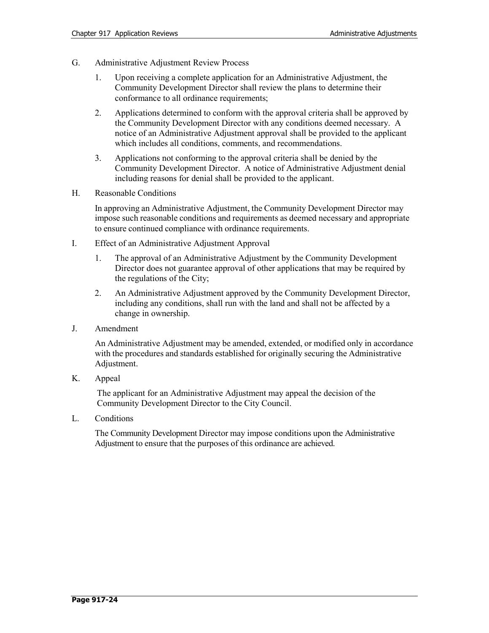- G. Administrative Adjustment Review Process
	- 1. Upon receiving a complete application for an Administrative Adjustment, the Community Development Director shall review the plans to determine their conformance to all ordinance requirements;
	- 2. Applications determined to conform with the approval criteria shall be approved by the Community Development Director with any conditions deemed necessary. A notice of an Administrative Adjustment approval shall be provided to the applicant which includes all conditions, comments, and recommendations.
	- 3. Applications not conforming to the approval criteria shall be denied by the Community Development Director. A notice of Administrative Adjustment denial including reasons for denial shall be provided to the applicant.
- H. Reasonable Conditions

In approving an Administrative Adjustment, the Community Development Director may impose such reasonable conditions and requirements as deemed necessary and appropriate to ensure continued compliance with ordinance requirements.

- I. Effect of an Administrative Adjustment Approval
	- 1. The approval of an Administrative Adjustment by the Community Development Director does not guarantee approval of other applications that may be required by the regulations of the City;
	- 2. An Administrative Adjustment approved by the Community Development Director, including any conditions, shall run with the land and shall not be affected by a change in ownership.
- J. Amendment

An Administrative Adjustment may be amended, extended, or modified only in accordance with the procedures and standards established for originally securing the Administrative Adjustment.

K. Appeal

The applicant for an Administrative Adjustment may appeal the decision of the Community Development Director to the City Council.

L. Conditions

The Community Development Director may impose conditions upon the Administrative Adjustment to ensure that the purposes of this ordinance are achieved.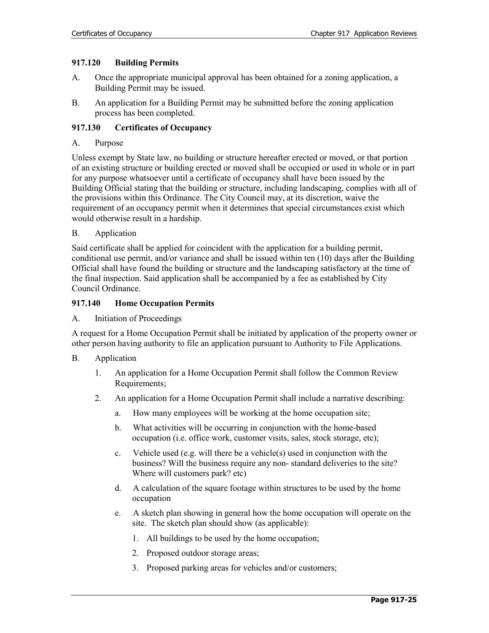## **917.120 Building Permits**

- A. Once the appropriate municipal approval has been obtained for a zoning application, a Building Permit may be issued.
- B. An application for a Building Permit may be submitted before the zoning application process has been completed.

# **917.130 Certificates of Occupancy**

## A. Purpose

Unless exempt by State law, no building or structure hereafter erected or moved, or that portion of an existing structure or building erected or moved shall be occupied or used in whole or in part for any purpose whatsoever until a certificate of occupancy shall have been issued by the Building Official stating that the building or structure, including landscaping, complies with all of the provisions within this Ordinance. The City Council may, at its discretion, waive the requirement of an occupancy permit when it determines that special circumstances exist which would otherwise result in a hardship.

# B. Application

Said certificate shall be applied for coincident with the application for a building permit, conditional use permit, and/or variance and shall be issued within ten (10) days after the Building Official shall have found the building or structure and the landscaping satisfactory at the time of the final inspection. Said application shall be accompanied by a fee as established by City Council Ordinance.

## **917.140 Home Occupation Permits**

## A. Initiation of Proceedings

A request for a Home Occupation Permit shall be initiated by application of the property owner or other person having authority to file an application pursuant to Authority to File Applications.

- B. Application
	- 1. An application for a Home Occupation Permit shall follow the Common Review Requirements;
	- 2. An application for a Home Occupation Permit shall include a narrative describing:
		- a. How many employees will be working at the home occupation site;
		- b. What activities will be occurring in conjunction with the home-based occupation (i.e. office work, customer visits, sales, stock storage, etc);
		- c. Vehicle used (e.g. will there be a vehicle(s) used in conjunction with the business? Will the business require any non- standard deliveries to the site? Where will customers park? etc)
		- d. A calculation of the square footage within structures to be used by the home occupation
		- e. A sketch plan showing in general how the home occupation will operate on the site. The sketch plan should show (as applicable):
			- 1. All buildings to be used by the home occupation;
			- 2. Proposed outdoor storage areas;
			- 3. Proposed parking areas for vehicles and/or customers;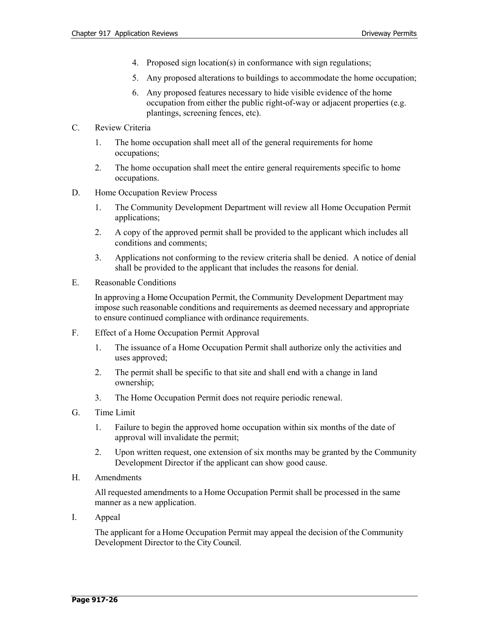- 4. Proposed sign location(s) in conformance with sign regulations;
- 5. Any proposed alterations to buildings to accommodate the home occupation;
- 6. Any proposed features necessary to hide visible evidence of the home occupation from either the public right-of-way or adjacent properties (e.g. plantings, screening fences, etc).
- C. Review Criteria
	- 1. The home occupation shall meet all of the general requirements for home occupations;
	- 2. The home occupation shall meet the entire general requirements specific to home occupations.
- D. Home Occupation Review Process
	- 1. The Community Development Department will review all Home Occupation Permit applications;
	- 2. A copy of the approved permit shall be provided to the applicant which includes all conditions and comments;
	- 3. Applications not conforming to the review criteria shall be denied. A notice of denial shall be provided to the applicant that includes the reasons for denial.
- E. Reasonable Conditions

In approving a Home Occupation Permit, the Community Development Department may impose such reasonable conditions and requirements as deemed necessary and appropriate to ensure continued compliance with ordinance requirements.

- F. Effect of a Home Occupation Permit Approval
	- 1. The issuance of a Home Occupation Permit shall authorize only the activities and uses approved;
	- 2. The permit shall be specific to that site and shall end with a change in land ownership;
	- 3. The Home Occupation Permit does not require periodic renewal.
- G. Time Limit
	- 1. Failure to begin the approved home occupation within six months of the date of approval will invalidate the permit;
	- 2. Upon written request, one extension of six months may be granted by the Community Development Director if the applicant can show good cause.
- H. Amendments

All requested amendments to a Home Occupation Permit shall be processed in the same manner as a new application.

I. Appeal

The applicant for a Home Occupation Permit may appeal the decision of the Community Development Director to the City Council.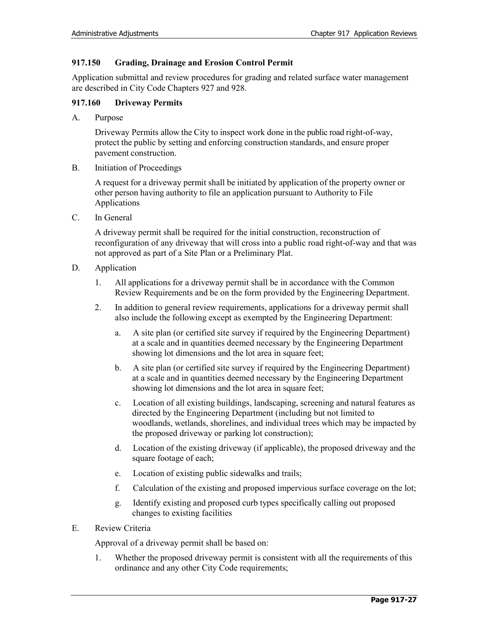# **917.150 Grading, Drainage and Erosion Control Permit**

Application submittal and review procedures for grading and related surface water management are described in City Code Chapters 927 and 928.

## **917.160 Driveway Permits**

A. Purpose

Driveway Permits allow the City to inspect work done in the public road right-of-way, protect the public by setting and enforcing construction standards, and ensure proper pavement construction.

B. Initiation of Proceedings

A request for a driveway permit shall be initiated by application of the property owner or other person having authority to file an application pursuant to Authority to File Applications

C. In General

A driveway permit shall be required for the initial construction, reconstruction of reconfiguration of any driveway that will cross into a public road right-of-way and that was not approved as part of a Site Plan or a Preliminary Plat.

- D. Application
	- 1. All applications for a driveway permit shall be in accordance with the Common Review Requirements and be on the form provided by the Engineering Department.
	- 2. In addition to general review requirements, applications for a driveway permit shall also include the following except as exempted by the Engineering Department:
		- a. A site plan (or certified site survey if required by the Engineering Department) at a scale and in quantities deemed necessary by the Engineering Department showing lot dimensions and the lot area in square feet;
		- b. A site plan (or certified site survey if required by the Engineering Department) at a scale and in quantities deemed necessary by the Engineering Department showing lot dimensions and the lot area in square feet;
		- c. Location of all existing buildings, landscaping, screening and natural features as directed by the Engineering Department (including but not limited to woodlands, wetlands, shorelines, and individual trees which may be impacted by the proposed driveway or parking lot construction);
		- d. Location of the existing driveway (if applicable), the proposed driveway and the square footage of each;
		- e. Location of existing public sidewalks and trails;
		- f. Calculation of the existing and proposed impervious surface coverage on the lot;
		- g. Identify existing and proposed curb types specifically calling out proposed changes to existing facilities
- E. Review Criteria

Approval of a driveway permit shall be based on:

1. Whether the proposed driveway permit is consistent with all the requirements of this ordinance and any other City Code requirements;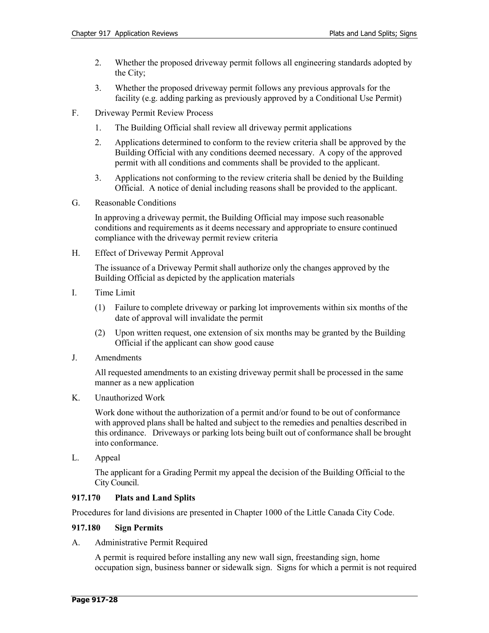- 2. Whether the proposed driveway permit follows all engineering standards adopted by the City;
- 3. Whether the proposed driveway permit follows any previous approvals for the facility (e.g. adding parking as previously approved by a Conditional Use Permit)
- F. Driveway Permit Review Process
	- 1. The Building Official shall review all driveway permit applications
	- 2. Applications determined to conform to the review criteria shall be approved by the Building Official with any conditions deemed necessary. A copy of the approved permit with all conditions and comments shall be provided to the applicant.
	- 3. Applications not conforming to the review criteria shall be denied by the Building Official. A notice of denial including reasons shall be provided to the applicant.
- G. Reasonable Conditions

In approving a driveway permit, the Building Official may impose such reasonable conditions and requirements as it deems necessary and appropriate to ensure continued compliance with the driveway permit review criteria

H. Effect of Driveway Permit Approval

The issuance of a Driveway Permit shall authorize only the changes approved by the Building Official as depicted by the application materials

- I. Time Limit
	- (1) Failure to complete driveway or parking lot improvements within six months of the date of approval will invalidate the permit
	- (2) Upon written request, one extension of six months may be granted by the Building Official if the applicant can show good cause
- J. Amendments

All requested amendments to an existing driveway permit shall be processed in the same manner as a new application

K. Unauthorized Work

Work done without the authorization of a permit and/or found to be out of conformance with approved plans shall be halted and subject to the remedies and penalties described in this ordinance. Driveways or parking lots being built out of conformance shall be brought into conformance.

L. Appeal

The applicant for a Grading Permit my appeal the decision of the Building Official to the City Council.

# **917.170 Plats and Land Splits**

Procedures for land divisions are presented in Chapter 1000 of the Little Canada City Code.

# **917.180 Sign Permits**

A. Administrative Permit Required

A permit is required before installing any new wall sign, freestanding sign, home occupation sign, business banner or sidewalk sign. Signs for which a permit is not required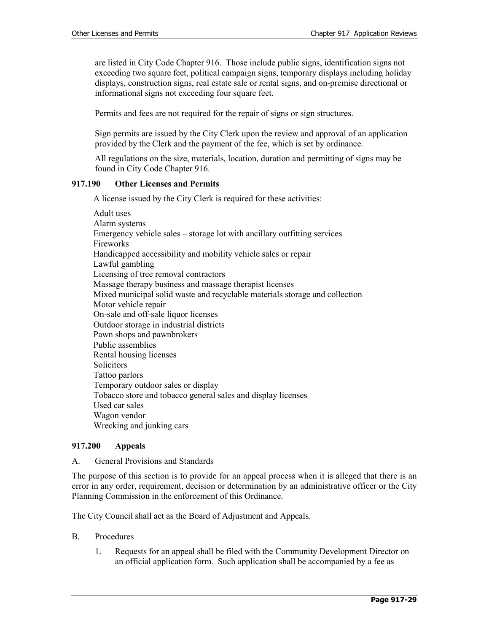are listed in City Code Chapter 916. Those include public signs, identification signs not exceeding two square feet, political campaign signs, temporary displays including holiday displays, construction signs, real estate sale or rental signs, and on-premise directional or informational signs not exceeding four square feet.

Permits and fees are not required for the repair of signs or sign structures.

Sign permits are issued by the City Clerk upon the review and approval of an application provided by the Clerk and the payment of the fee, which is set by ordinance.

All regulations on the size, materials, location, duration and permitting of signs may be found in City Code Chapter 916.

## **917.190 Other Licenses and Permits**

A license issued by the City Clerk is required for these activities:

Adult uses Alarm systems Emergency vehicle sales – storage lot with ancillary outfitting services Fireworks Handicapped accessibility and mobility vehicle sales or repair Lawful gambling Licensing of tree removal contractors Massage therapy business and massage therapist licenses Mixed municipal solid waste and recyclable materials storage and collection Motor vehicle repair On-sale and off-sale liquor licenses Outdoor storage in industrial districts Pawn shops and pawnbrokers Public assemblies Rental housing licenses Solicitors Tattoo parlors Temporary outdoor sales or display Tobacco store and tobacco general sales and display licenses Used car sales Wagon vendor Wrecking and junking cars

# **917.200 Appeals**

## A. General Provisions and Standards

The purpose of this section is to provide for an appeal process when it is alleged that there is an error in any order, requirement, decision or determination by an administrative officer or the City Planning Commission in the enforcement of this Ordinance.

The City Council shall act as the Board of Adjustment and Appeals.

## B. Procedures

1. Requests for an appeal shall be filed with the Community Development Director on an official application form. Such application shall be accompanied by a fee as